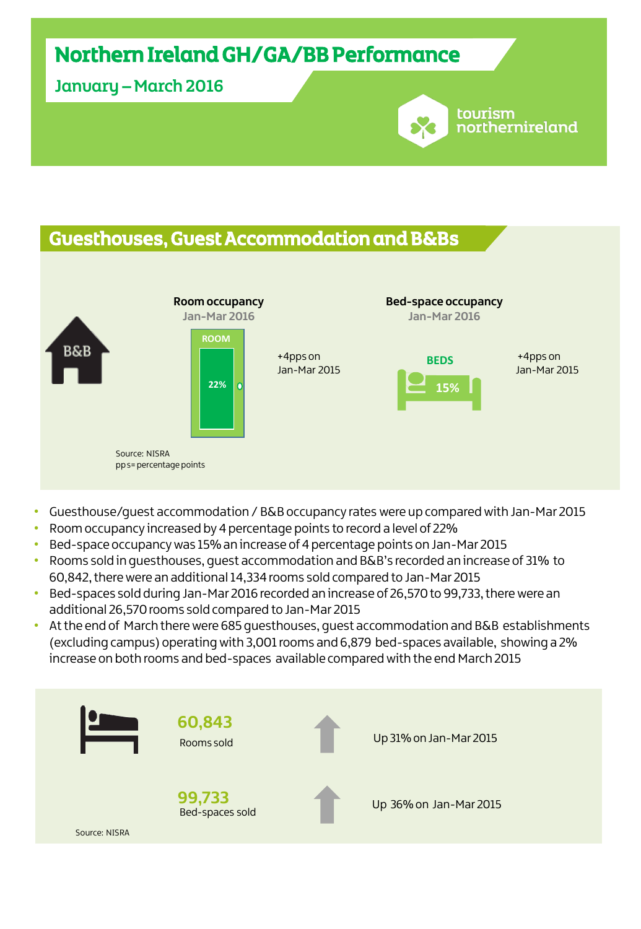# Northern Ireland GH/GA/BB Performance

January – March 2016

## Guesthouses, Guest Accommodation and B&Bs



tourism

northernireland

- Guesthouse/guest accommodation / B&B occupancy rates were up compared with Jan-Mar 2015
- Room occupancy increased by 4 percentage points to record a level of 22%
- Bed-space occupancy was 15% an increase of 4 percentage points on Jan-Mar 2015
- Rooms sold in guesthouses, guest accommodation and B&B's recorded an increase of 31% to 60,842, there were an additional 14,334 rooms sold compared to Jan-Mar 2015
- Bed-spaces sold during Jan-Mar 2016 recorded an increase of 26,570 to 99,733, there were an additional 26,570 rooms sold compared to Jan-Mar 2015
- At the end of March there were 685 guesthouses, guest accommodation and B&B establishments (excluding campus) operating with 3,001 rooms and 6,879 bed-spaces available, showing a 2% increase on both rooms and bed-spaces available compared with the end March 2015

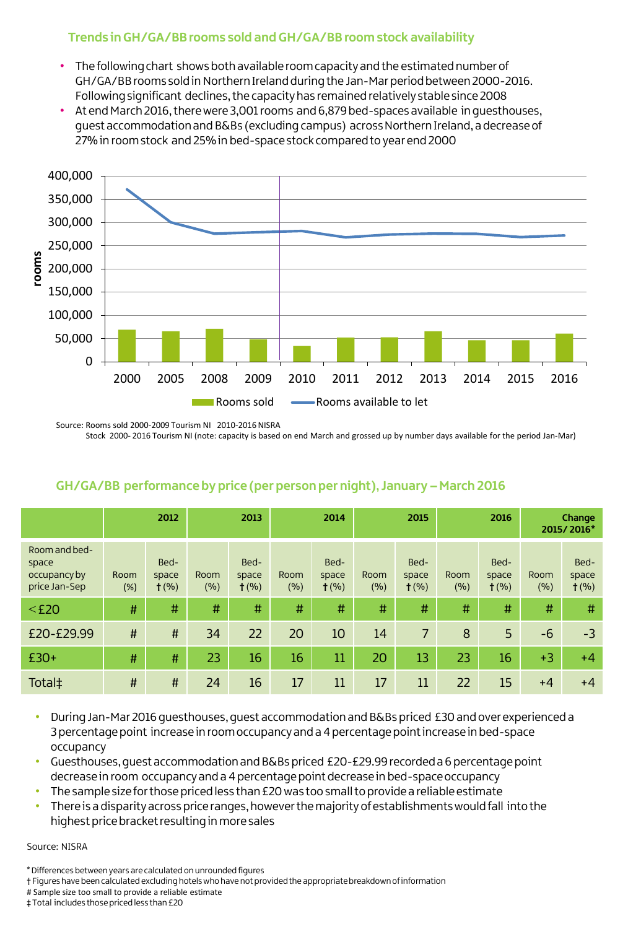#### **Trends in GH/GA/BB rooms sold and GH/GA/BB room stock availability**

- The following chart shows both available room capacity and the estimated number of GH/GA/BB rooms sold in Northern Ireland during the Jan-Mar period between 2000-2016. Following significant declines, the capacity has remained relatively stable since 2008
- At end March 2016, there were 3,001 rooms and 6,879 bed-spaces available in guesthouses, guest accommodation and B&Bs (excluding campus) across Northern Ireland, a decrease of 27% in room stock and 25% in bed-space stock compared to year end 2000



Source: Rooms sold 2000-2009 Tourism NI 2010-2016 NISRA

Stock 2000- 2016 Tourism NI (note: capacity is based on end March and grossed up by number days available for the period Jan-Mar)

|                                                         | 2012        |                          | 2013        |                          | 2014            |                          | 2015        |                          | 2016        |                          | Change<br>2015/2016* |                          |
|---------------------------------------------------------|-------------|--------------------------|-------------|--------------------------|-----------------|--------------------------|-------------|--------------------------|-------------|--------------------------|----------------------|--------------------------|
| Room and bed-<br>space<br>occupancy by<br>price Jan-Sep | Room<br>(%) | Bed-<br>space<br>$+$ (%) | Room<br>(%) | Bed-<br>space<br>$+$ (%) | Room<br>$(\% )$ | Bed-<br>space<br>$t$ (%) | Room<br>(%) | Bed-<br>space<br>$t$ (%) | Room<br>(%) | Bed-<br>space<br>$t$ (%) | Room<br>(%)          | Bed-<br>space<br>$t$ (%) |
| $<$ £20                                                 | #           | #                        | #           | #                        | #               | #                        | #           | #                        | #           | #                        | #                    | #                        |
| £20-£29.99                                              | #           | #                        | 34          | 22                       | 20              | 10                       | 14          | $\overline{7}$           | 8           | 5                        | $-6$                 | $-3$                     |
| $£30+$                                                  | #           | #                        | 23          | 16                       | 16              | 11                       | 20          | 13                       | 23          | 16                       | $+3$                 | $+4$                     |
| Total‡                                                  | $\sharp$    | $\sharp$                 | 24          | 16                       | 17              | 11                       | 17          | 11                       | 22          | 15                       | $+4$                 | $+4$                     |

#### **GH/GA/BB performance by price (per person per night), January – March 2016**

- During Jan-Mar 2016 guesthouses, guest accommodation and B&Bs priced £30 and over experienced a 3 percentage point increase in room occupancy and a 4 percentage point increase in bed-space occupancy
- Guesthouses, guest accommodation and B&Bs priced £20-£29.99 recorded a 6 percentage point decrease in room occupancy and a 4 percentage point decrease in bed-space occupancy
- The sample size for those priced less than £20 was too small to provide a reliable estimate
- There is a disparity across price ranges, however the majority of establishments would fall into the highest price bracket resulting in more sales

Source: NISRA

# Sample size too small to provide a reliable estimate

‡ Total includes those priced less than £20

<sup>\*</sup> Differences between years are calculated on unrounded figures

<sup>†</sup> Figures have been calculated excluding hotels who have not provided the appropriate breakdown of information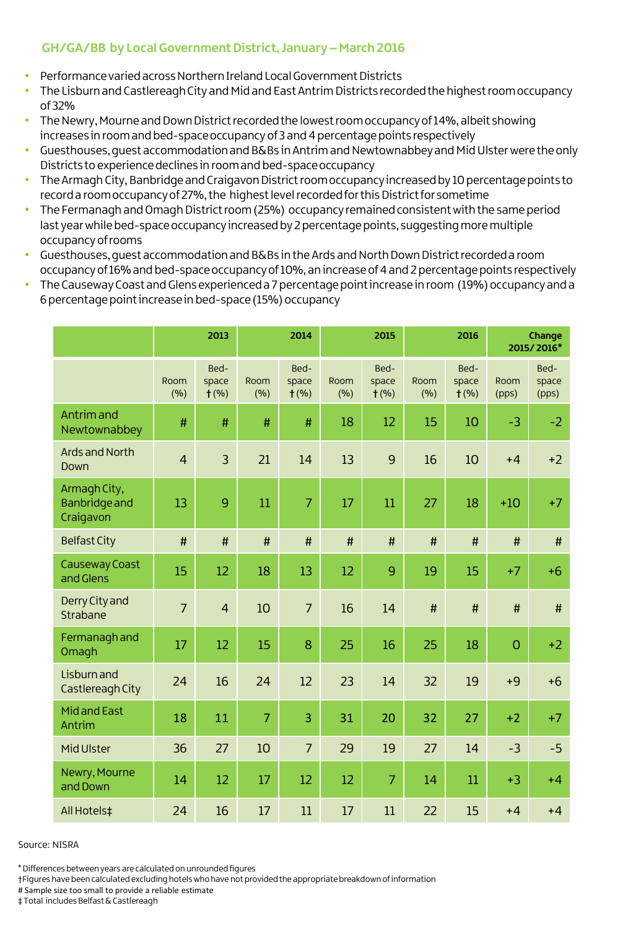### **GH/GA/BB by Local Government District, January – March 2016**

- Performance varied across Northern Ireland Local Government Districts
- The Lisburn and Castlereagh City and Mid and East Antrim Districts recorded the highest room occupancy of 32%
- The Newry, Mourne and Down District recorded the lowest room occupancy of 14%, albeit showing increases in room and bed-space occupancy of 3 and 4 percentage points respectively
- Guesthouses, guest accommodation and B&Bs in Antrim and Newtownabbey and Mid Ulster were the only Districts to experience declines in room and bed-space occupancy
- The Armagh City, Banbridge and Craigavon District room occupancy increased by 10 percentage points to record a room occupancy of 27%, the highest level recorded for this District for sometime
- The Fermanagh and Omagh District room (25%) occupancy remained consistent with the same period last year while bed-space occupancy increased by 2 percentage points, suggesting more multiple occupancy of rooms
- Guesthouses, guest accommodation and B&Bs in the Ards and North Down District recorded a room occupancy of 16% and bed-space occupancy of 10%, an increase of 4 and 2 percentage points respectively
- The Causeway Coast and Glens experienced a 7 percentage point increase in room (19%) occupancy and a 6 percentage point increase in bed-space (15%) occupancy

|                                                   | 2013           |                          | 2014           |                          |             | 2015                     |             | 2016                     | Change<br>2015/2016* |                        |
|---------------------------------------------------|----------------|--------------------------|----------------|--------------------------|-------------|--------------------------|-------------|--------------------------|----------------------|------------------------|
|                                                   | Room<br>(%)    | Bed-<br>space<br>$t$ (%) | Room<br>(%)    | Bed-<br>space<br>$t$ (%) | Room<br>(%) | Bed-<br>space<br>$t$ (%) | Room<br>(%) | Bed-<br>space<br>$t$ (%) | Room<br>(pps)        | Bed-<br>space<br>(pps) |
| Antrim and<br>Newtownabbey                        | $\#$           | #                        | #              | $\#$                     | 18          | 12                       | 15          | 10                       | $-3$                 | $-2$                   |
| <b>Ards and North</b><br>Down                     | $\overline{4}$ | $\overline{3}$           | 21             | 14                       | 13          | 9                        | 16          | 10                       | $+4$                 | $+2$                   |
| Armagh City,<br><b>Banbridge and</b><br>Craigavon | 13             | 9                        | 11             | $\overline{7}$           | 17          | 11                       | 27          | 18                       | $+10$                | $+7$                   |
| <b>Belfast City</b>                               | $\#$           | $\#$                     | $\#$           | $\#$                     | #           | $\#$                     | $\sharp$    | $\sharp$                 | $\#$                 | #                      |
| <b>Causeway Coast</b><br>and Glens                | 15             | 12                       | 18             | 13                       | 12          | 9                        | 19          | 15                       | $+7$                 | $+6$                   |
| Derry City and<br>Strabane                        | $\overline{7}$ | $\overline{4}$           | 10             | $\overline{7}$           | 16          | 14                       | $\#$        | #                        | #                    | #                      |
| Fermanagh and<br>Omagh                            | 17             | 12                       | 15             | 8                        | 25          | 16                       | 25          | 18                       | $\overline{0}$       | $+2$                   |
| <b>Lisburn</b> and<br>Castlereagh City            | 24             | 16                       | 24             | 12                       | 23          | 14                       | 32          | 19                       | $+9$                 | $+6$                   |
| <b>Midand East</b><br>Antrim                      | 18             | 11                       | $\overline{7}$ | 3                        | 31          | 20                       | 32          | 27                       | $+2$                 | $+7$                   |
| Mid Ulster                                        | 36             | 27                       | 10             | $\overline{7}$           | 29          | 19                       | 27          | 14                       | $-3$                 | $-5$                   |
| Newry, Mourne<br>and Down                         | 14             | 12                       | 17             | 12                       | 12          | $\overline{7}$           | 14          | 11                       | $+3$                 | $+4$                   |
| All Hotels‡                                       | 24             | 16                       | 17             | 11                       | 17          | 11                       | 22          | 15                       | $+4$                 | $+4$                   |

Source: NISRA

\* Differences between years are calculated on unrounded figures

†Figures have been calculated excluding hotels who have not provided the appropriate breakdown of information

# Sample size too small to provide a reliable estimate ‡ Total includes Belfast & Castlereagh